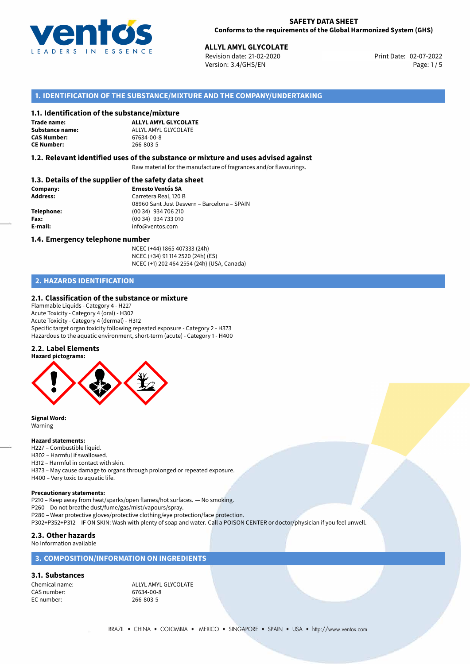

02-07-2022 **ALLYL AMYL GLYCOLATE** Revision date: 21-02-2020 Print Date: Version: 3.4/GHS/EN Page: 1 / 5

## **1. IDENTIFICATION OF THE SUBSTANCE/MIXTURE AND THE COMPANY/UNDERTAKING**

#### **1.1. Identification of the substance/mixture**

**Trade name: CAS Number: CE Number:** 266-803-5

**ALLYL AMYL GLYCOLATE Substance name:**  $ALYL AMYL GLYCOLATE$ <br>**CAS Number:** 67634-00-8

#### **1.2. Relevant identified uses of the substance or mixture and uses advised against**

Raw material for the manufacture of fragrances and/or flavourings.

## **1.3. Details of the supplier of the safety data sheet**

| Company:   | <b>Ernesto Ventós SA</b>                    |
|------------|---------------------------------------------|
| Address:   | Carretera Real, 120 B                       |
|            | 08960 Sant Just Desvern - Barcelona - SPAIN |
| Telephone: | (00 34) 934 706 210                         |
| Fax:       | (00 34) 934 733 010                         |
| E-mail:    | info@ventos.com                             |
|            |                                             |

#### **1.4. Emergency telephone number**

NCEC (+44) 1865 407333 (24h) NCEC (+34) 91 114 2520 (24h) (ES) NCEC (+1) 202 464 2554 (24h) (USA, Canada)

## **2. HAZARDS IDENTIFICATION**

#### **2.1. Classification of the substance or mixture**

Flammable Liquids - Category 4 - H227 Acute Toxicity - Category 4 (oral) - H302 Acute Toxicity - Category 4 (dermal) - H312 Specific target organ toxicity following repeated exposure - Category 2 - H373 Hazardous to the aquatic environment, short-term (acute) - Category 1 - H400

#### **2.2. Label Elements**



**Signal Word:** Warning

#### **Hazard statements:**

- H227 Combustible liquid.
- H302 Harmful if swallowed.
- H312 Harmful in contact with skin.
- H373 May cause damage to organs through prolonged or repeated exposure.
- H400 Very toxic to aquatic life.

#### **Precautionary statements:**

P210 – Keep away from heat/sparks/open flames/hot surfaces. — No smoking.

P260 – Do not breathe dust/fume/gas/mist/vapours/spray.

P280 – Wear protective gloves/protective clothing/eye protection/face protection.

P302+P352+P312 – IF ON SKIN: Wash with plenty of soap and water. Call a POISON CENTER or doctor/physician if you feel unwell.

### **2.3. Other hazards**

No Information available

## **3. COMPOSITION/INFORMATION ON INGREDIENTS**

## **3.1. Substances**

CAS number: 67634-00-8<br>EC number: 266-803-5

Chemical name: ALLYL AMYL GLYCOLATE 266-803-5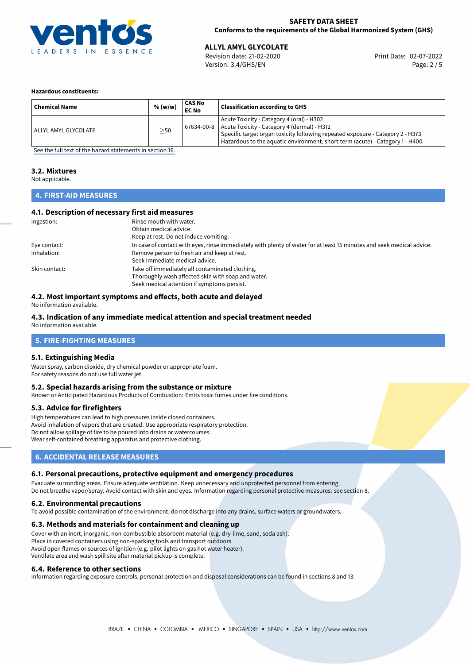

**ALLYL AMYL GLYCOLATE**<br>
Revision date: 21-02-2020 **Print Date: 02-07-2022** Version: 3.4/GHS/EN Page: 2 / 5

#### **Hazardous constituents:**

| <b>Chemical Name</b> | % (w/w) | CAS No<br><b>EC No</b> | <b>Classification according to GHS</b>                                                                                                                                                                                                                                  |
|----------------------|---------|------------------------|-------------------------------------------------------------------------------------------------------------------------------------------------------------------------------------------------------------------------------------------------------------------------|
| ALLYL AMYL GLYCOLATE | >50     |                        | Acute Toxicity - Category 4 (oral) - H302<br>$67634-00-8$ Acute Toxicity - Category 4 (dermal) - H312<br>Specific target organ toxicity following repeated exposure - Category 2 - H373<br>Hazardous to the aquatic environment, short-term (acute) - Category 1 - H400 |

[See the full text of the hazard statements in section 16.](#page-4-0)

## **3.2. Mixtures**

Not applicable.

## **4. FIRST-AID MEASURES**

### **4.1. Description of necessary first aid measures**

| Ingestion:    | Rinse mouth with water.                                                                                               |
|---------------|-----------------------------------------------------------------------------------------------------------------------|
|               | Obtain medical advice.                                                                                                |
|               | Keep at rest. Do not induce vomiting.                                                                                 |
| Eye contact:  | In case of contact with eyes, rinse immediately with plenty of water for at least 15 minutes and seek medical advice. |
| Inhalation:   | Remove person to fresh air and keep at rest.                                                                          |
|               | Seek immediate medical advice.                                                                                        |
| Skin contact: | Take off immediately all contaminated clothing.                                                                       |
|               | Thoroughly wash affected skin with soap and water.                                                                    |
|               | Seek medical attention if symptoms persist.                                                                           |

### **4.2. Most important symptoms and effects, both acute and delayed**

No information available.

## **4.3. Indication of any immediate medical attention and special treatment needed**

No information available.

## **5. FIRE-FIGHTING MEASURES**

#### **5.1. Extinguishing Media**

Water spray, carbon dioxide, dry chemical powder or appropriate foam. For safety reasons do not use full water jet.

#### **5.2. Special hazards arising from the substance or mixture**

Known or Anticipated Hazardous Products of Combustion: Emits toxic fumes under fire conditions.

#### **5.3. Advice for firefighters**

High temperatures can lead to high pressures inside closed containers. Avoid inhalation of vapors that are created. Use appropriate respiratory protection. Do not allow spillage of fire to be poured into drains or watercourses. Wear self-contained breathing apparatus and protective clothing.

## **6. ACCIDENTAL RELEASE MEASURES**

#### **6.1. Personal precautions, protective equipment and emergency procedures**

Evacuate surronding areas. Ensure adequate ventilation. Keep unnecessary and unprotected personnel from entering. Do not breathe vapor/spray. Avoid contact with skin and eyes. Information regarding personal protective measures: see section 8.

#### **6.2. Environmental precautions**

To avoid possible contamination of the environment, do not discharge into any drains, surface waters or groundwaters.

#### **6.3. Methods and materials for containment and cleaning up**

Cover with an inert, inorganic, non-combustible absorbent material (e.g. dry-lime, sand, soda ash). Place in covered containers using non-sparking tools and transport outdoors. Avoid open flames or sources of ignition (e.g. pilot lights on gas hot water heater). Ventilate area and wash spill site after material pickup is complete.

#### **6.4. Reference to other sections**

Information regarding exposure controls, personal protection and disposal considerations can be found in sections 8 and 13.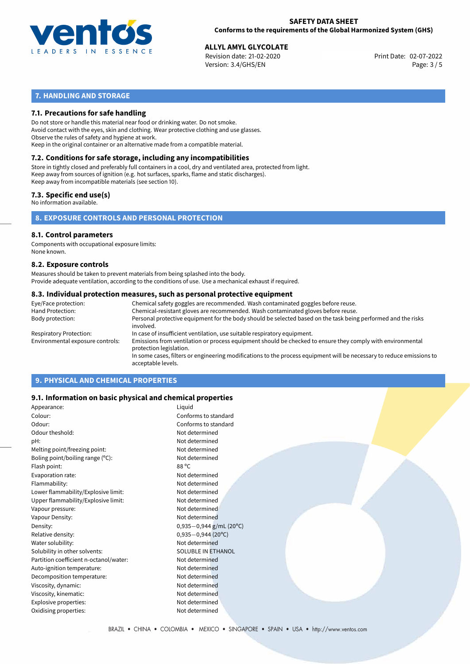

**ALLYL AMYL GLYCOLATE**<br>
Revision date: 21-02-2020 **Print Date: 02-07-2022** Version: 3.4/GHS/EN Page: 3 / 5

## **7. HANDLING AND STORAGE**

### **7.1. Precautions for safe handling**

Do not store or handle this material near food or drinking water. Do not smoke. Avoid contact with the eyes, skin and clothing. Wear protective clothing and use glasses. Observe the rules of safety and hygiene at work. Keep in the original container or an alternative made from a compatible material.

## **7.2. Conditions for safe storage, including any incompatibilities**

Store in tightly closed and preferably full containers in a cool, dry and ventilated area, protected from light. Keep away from sources of ignition (e.g. hot surfaces, sparks, flame and static discharges). Keep away from incompatible materials (see section 10).

### **7.3. Specific end use(s)**

No information available.

**8. EXPOSURE CONTROLS AND PERSONAL PROTECTION**

#### **8.1. Control parameters**

Components with occupational exposure limits: None known.

#### **8.2. Exposure controls**

Measures should be taken to prevent materials from being splashed into the body. Provide adequate ventilation, according to the conditions of use. Use a mechanical exhaust if required.

#### **8.3. Individual protection measures, such as personal protective equipment**

| Eye/Face protection:             | Chemical safety goggles are recommended. Wash contaminated goggles before reuse.                                                            |
|----------------------------------|---------------------------------------------------------------------------------------------------------------------------------------------|
| Hand Protection:                 | Chemical-resistant gloves are recommended. Wash contaminated gloves before reuse.                                                           |
| Body protection:                 | Personal protective equipment for the body should be selected based on the task being performed and the risks<br>involved.                  |
| Respiratory Protection:          | In case of insufficient ventilation, use suitable respiratory equipment.                                                                    |
| Environmental exposure controls: | Emissions from ventilation or process equipment should be checked to ensure they comply with environmental<br>protection legislation.       |
|                                  | In some cases, filters or engineering modifications to the process equipment will be necessary to reduce emissions to<br>acceptable levels. |
|                                  |                                                                                                                                             |

## **9. PHYSICAL AND CHEMICAL PROPERTIES**

#### **9.1. Information on basic physical and chemical properties**

| Appearance:                            | Liquid                    |
|----------------------------------------|---------------------------|
| Colour:                                | Conforms to standard      |
| Odour:                                 | Conforms to standard      |
| Odour theshold:                        | Not determined            |
| pH:                                    | Not determined            |
| Melting point/freezing point:          | Not determined            |
| Boling point/boiling range (°C):       | Not determined            |
| Flash point:                           | 88 °C                     |
| Evaporation rate:                      | Not determined            |
| Flammability:                          | Not determined            |
| Lower flammability/Explosive limit:    | Not determined            |
| Upper flammability/Explosive limit:    | Not determined            |
| Vapour pressure:                       | Not determined            |
| Vapour Density:                        | Not determined            |
| Density:                               | $0,935-0,944$ g/mL (20°C) |
| Relative density:                      | $0,935 - 0,944$ (20°C)    |
| Water solubility:                      | Not determined            |
| Solubility in other solvents:          | <b>SOLUBLE IN ETHANOL</b> |
| Partition coefficient n-octanol/water: | Not determined            |
| Auto-ignition temperature:             | Not determined            |
| Decomposition temperature:             | Not determined            |
| Viscosity, dynamic:                    | Not determined            |
| Viscosity, kinematic:                  | Not determined            |
| Explosive properties:                  | Not determined            |
| Oxidising properties:                  | Not determined            |
|                                        |                           |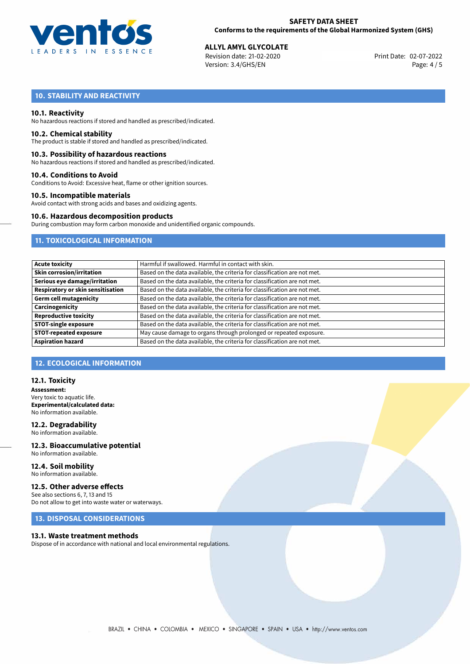

**ALLYL AMYL GLYCOLATE**<br>
Revision date: 21-02-2020 **Print Date: 02-07-2022** Version: 3.4/GHS/EN Page: 4 / 5

## **10. STABILITY AND REACTIVITY**

#### **10.1. Reactivity**

No hazardous reactions if stored and handled as prescribed/indicated.

#### **10.2. Chemical stability**

The product is stable if stored and handled as prescribed/indicated.

#### **10.3. Possibility of hazardous reactions**

No hazardous reactions if stored and handled as prescribed/indicated.

#### **10.4. Conditions to Avoid**

Conditions to Avoid: Excessive heat, flame or other ignition sources.

#### **10.5. Incompatible materials**

Avoid contact with strong acids and bases and oxidizing agents.

### **10.6. Hazardous decomposition products**

During combustion may form carbon monoxide and unidentified organic compounds.

## **11. TOXICOLOGICAL INFORMATION**

| <b>Acute toxicity</b>             | Harmful if swallowed. Harmful in contact with skin.                       |
|-----------------------------------|---------------------------------------------------------------------------|
| <b>Skin corrosion/irritation</b>  | Based on the data available, the criteria for classification are not met. |
| Serious eye damage/irritation     | Based on the data available, the criteria for classification are not met. |
| Respiratory or skin sensitisation | Based on the data available, the criteria for classification are not met. |
| Germ cell mutagenicity            | Based on the data available, the criteria for classification are not met. |
| Carcinogenicity                   | Based on the data available, the criteria for classification are not met. |
| <b>Reproductive toxicity</b>      | Based on the data available, the criteria for classification are not met. |
| <b>STOT-single exposure</b>       | Based on the data available, the criteria for classification are not met. |
| <b>STOT-repeated exposure</b>     | May cause damage to organs through prolonged or repeated exposure.        |
| <b>Aspiration hazard</b>          | Based on the data available, the criteria for classification are not met. |

## **12. ECOLOGICAL INFORMATION**

#### **12.1. Toxicity**

**Assessment:** Very toxic to aquatic life. **Experimental/calculated data:** No information available.

#### **12.2. Degradability** No information available.

**12.3. Bioaccumulative potential** No information available.

# **12.4. Soil mobility**

No information available.

## **12.5. Other adverse effects**

See also sections 6, 7, 13 and 15 Do not allow to get into waste water or waterways.

## **13. DISPOSAL CONSIDERATIONS**

#### **13.1. Waste treatment methods**

Dispose of in accordance with national and local environmental regulations.